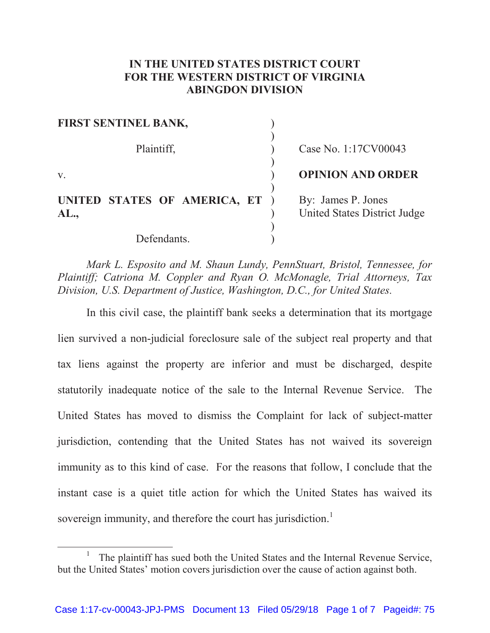## **IN THE UNITED STATES DISTRICT COURT FOR THE WESTERN DISTRICT OF VIRGINIA ABINGDON DIVISION**

| FIRST SENTINEL BANK,                   |                                                    |
|----------------------------------------|----------------------------------------------------|
| Plaintiff,                             | Case No. 1:17CV00043                               |
| V.                                     | <b>OPINION AND ORDER</b>                           |
| UNITED STATES OF AMERICA, ET )<br>AL., | By: James P. Jones<br>United States District Judge |
| Defendants.                            |                                                    |

*Mark L. Esposito and M. Shaun Lundy, PennStuart, Bristol, Tennessee, for Plaintiff; Catriona M. Coppler and Ryan O. McMonagle, Trial Attorneys, Tax Division, U.S. Department of Justice, Washington, D.C., for United States.* 

In this civil case, the plaintiff bank seeks a determination that its mortgage lien survived a non-judicial foreclosure sale of the subject real property and that tax liens against the property are inferior and must be discharged, despite statutorily inadequate notice of the sale to the Internal Revenue Service. The United States has moved to dismiss the Complaint for lack of subject-matter jurisdiction, contending that the United States has not waived its sovereign immunity as to this kind of case. For the reasons that follow, I conclude that the instant case is a quiet title action for which the United States has waived its sovereign immunity, and therefore the court has jurisdiction.<sup>1</sup>

 $\overline{\phantom{a}}$  The plaintiff has sued both the United States and the Internal Revenue Service, but the United States' motion covers jurisdiction over the cause of action against both.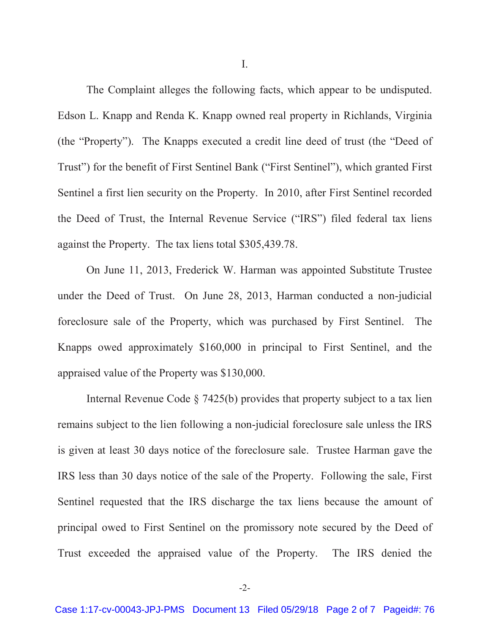I.

The Complaint alleges the following facts, which appear to be undisputed. Edson L. Knapp and Renda K. Knapp owned real property in Richlands, Virginia (the "Property"). The Knapps executed a credit line deed of trust (the "Deed of Trust") for the benefit of First Sentinel Bank ("First Sentinel"), which granted First Sentinel a first lien security on the Property. In 2010, after First Sentinel recorded the Deed of Trust, the Internal Revenue Service ("IRS") filed federal tax liens against the Property. The tax liens total \$305,439.78.

On June 11, 2013, Frederick W. Harman was appointed Substitute Trustee under the Deed of Trust. On June 28, 2013, Harman conducted a non-judicial foreclosure sale of the Property, which was purchased by First Sentinel. The Knapps owed approximately \$160,000 in principal to First Sentinel, and the appraised value of the Property was \$130,000.

Internal Revenue Code § 7425(b) provides that property subject to a tax lien remains subject to the lien following a non-judicial foreclosure sale unless the IRS is given at least 30 days notice of the foreclosure sale. Trustee Harman gave the IRS less than 30 days notice of the sale of the Property. Following the sale, First Sentinel requested that the IRS discharge the tax liens because the amount of principal owed to First Sentinel on the promissory note secured by the Deed of Trust exceeded the appraised value of the Property. The IRS denied the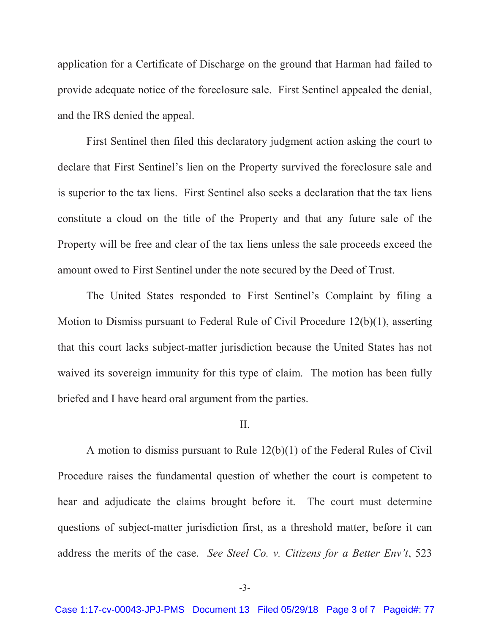application for a Certificate of Discharge on the ground that Harman had failed to provide adequate notice of the foreclosure sale. First Sentinel appealed the denial, and the IRS denied the appeal.

First Sentinel then filed this declaratory judgment action asking the court to declare that First Sentinel's lien on the Property survived the foreclosure sale and is superior to the tax liens. First Sentinel also seeks a declaration that the tax liens constitute a cloud on the title of the Property and that any future sale of the Property will be free and clear of the tax liens unless the sale proceeds exceed the amount owed to First Sentinel under the note secured by the Deed of Trust.

The United States responded to First Sentinel's Complaint by filing a Motion to Dismiss pursuant to Federal Rule of Civil Procedure 12(b)(1), asserting that this court lacks subject-matter jurisdiction because the United States has not waived its sovereign immunity for this type of claim. The motion has been fully briefed and I have heard oral argument from the parties.

## II.

A motion to dismiss pursuant to Rule 12(b)(1) of the Federal Rules of Civil Procedure raises the fundamental question of whether the court is competent to hear and adjudicate the claims brought before it. The court must determine questions of subject-matter jurisdiction first, as a threshold matter, before it can address the merits of the case. *See Steel Co. v. Citizens for a Better Env't*, 523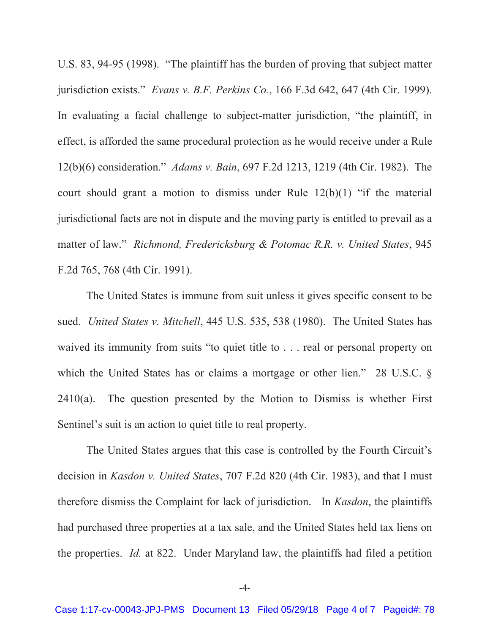U.S. 83, 94-95 (1998). "The plaintiff has the burden of proving that subject matter jurisdiction exists." *Evans v. B.F. Perkins Co.*, 166 F.3d 642, 647 (4th Cir. 1999). In evaluating a facial challenge to subject-matter jurisdiction, "the plaintiff, in effect, is afforded the same procedural protection as he would receive under a Rule 12(b)(6) consideration." *Adams v. Bain*, 697 F.2d 1213, 1219 (4th Cir. 1982). The court should grant a motion to dismiss under Rule 12(b)(1) "if the material jurisdictional facts are not in dispute and the moving party is entitled to prevail as a matter of law." *Richmond, Fredericksburg & Potomac R.R. v. United States*, 945 F.2d 765, 768 (4th Cir. 1991).

The United States is immune from suit unless it gives specific consent to be sued. *United States v. Mitchell*, 445 U.S. 535, 538 (1980). The United States has waived its immunity from suits "to quiet title to . . . real or personal property on which the United States has or claims a mortgage or other lien." 28 U.S.C. §  $2410(a)$ . The question presented by the Motion to Dismiss is whether First Sentinel's suit is an action to quiet title to real property.

The United States argues that this case is controlled by the Fourth Circuit's decision in *Kasdon v. United States*, 707 F.2d 820 (4th Cir. 1983), and that I must therefore dismiss the Complaint for lack of jurisdiction. In *Kasdon*, the plaintiffs had purchased three properties at a tax sale, and the United States held tax liens on the properties. *Id.* at 822. Under Maryland law, the plaintiffs had filed a petition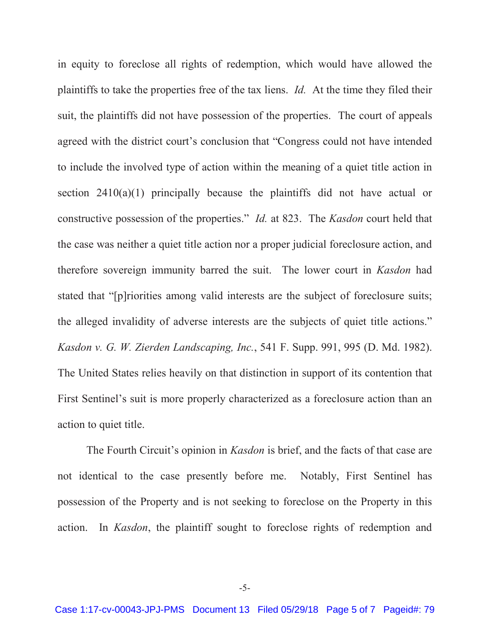in equity to foreclose all rights of redemption, which would have allowed the plaintiffs to take the properties free of the tax liens. *Id.* At the time they filed their suit, the plaintiffs did not have possession of the properties. The court of appeals agreed with the district court's conclusion that "Congress could not have intended to include the involved type of action within the meaning of a quiet title action in section  $2410(a)(1)$  principally because the plaintiffs did not have actual or constructive possession of the properties." *Id.* at 823. The *Kasdon* court held that the case was neither a quiet title action nor a proper judicial foreclosure action, and therefore sovereign immunity barred the suit. The lower court in *Kasdon* had stated that "[p]riorities among valid interests are the subject of foreclosure suits; the alleged invalidity of adverse interests are the subjects of quiet title actions." *Kasdon v. G. W. Zierden Landscaping, Inc.*, 541 F. Supp. 991, 995 (D. Md. 1982). The United States relies heavily on that distinction in support of its contention that First Sentinel's suit is more properly characterized as a foreclosure action than an action to quiet title.

The Fourth Circuit's opinion in *Kasdon* is brief, and the facts of that case are not identical to the case presently before me. Notably, First Sentinel has possession of the Property and is not seeking to foreclose on the Property in this action. In *Kasdon*, the plaintiff sought to foreclose rights of redemption and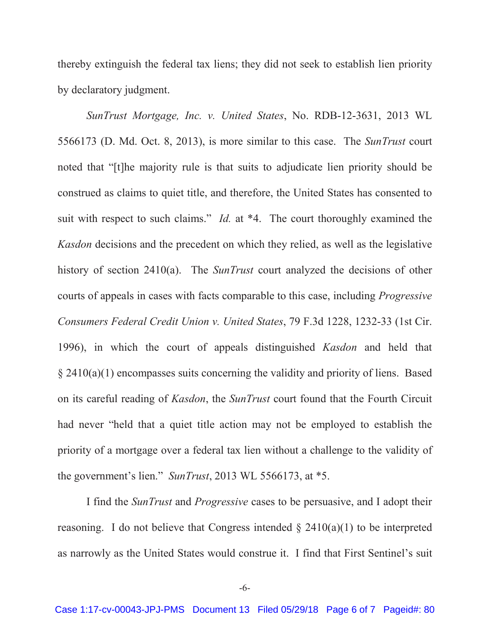thereby extinguish the federal tax liens; they did not seek to establish lien priority by declaratory judgment.

*SunTrust Mortgage, Inc. v. United States*, No. RDB-12-3631, 2013 WL 5566173 (D. Md. Oct. 8, 2013), is more similar to this case. The *SunTrust* court noted that "[t]he majority rule is that suits to adjudicate lien priority should be construed as claims to quiet title, and therefore, the United States has consented to suit with respect to such claims." *Id.* at \*4. The court thoroughly examined the *Kasdon* decisions and the precedent on which they relied, as well as the legislative history of section 2410(a). The *SunTrust* court analyzed the decisions of other courts of appeals in cases with facts comparable to this case, including *Progressive Consumers Federal Credit Union v. United States*, 79 F.3d 1228, 1232-33 (1st Cir. 1996), in which the court of appeals distinguished *Kasdon* and held that  $\S 2410(a)(1)$  encompasses suits concerning the validity and priority of liens. Based on its careful reading of *Kasdon*, the *SunTrust* court found that the Fourth Circuit had never "held that a quiet title action may not be employed to establish the priority of a mortgage over a federal tax lien without a challenge to the validity of the government's lien." *SunTrust*, 2013 WL 5566173, at \*5.

I find the *SunTrust* and *Progressive* cases to be persuasive, and I adopt their reasoning. I do not believe that Congress intended  $\S$  2410(a)(1) to be interpreted as narrowly as the United States would construe it. I find that First Sentinel's suit